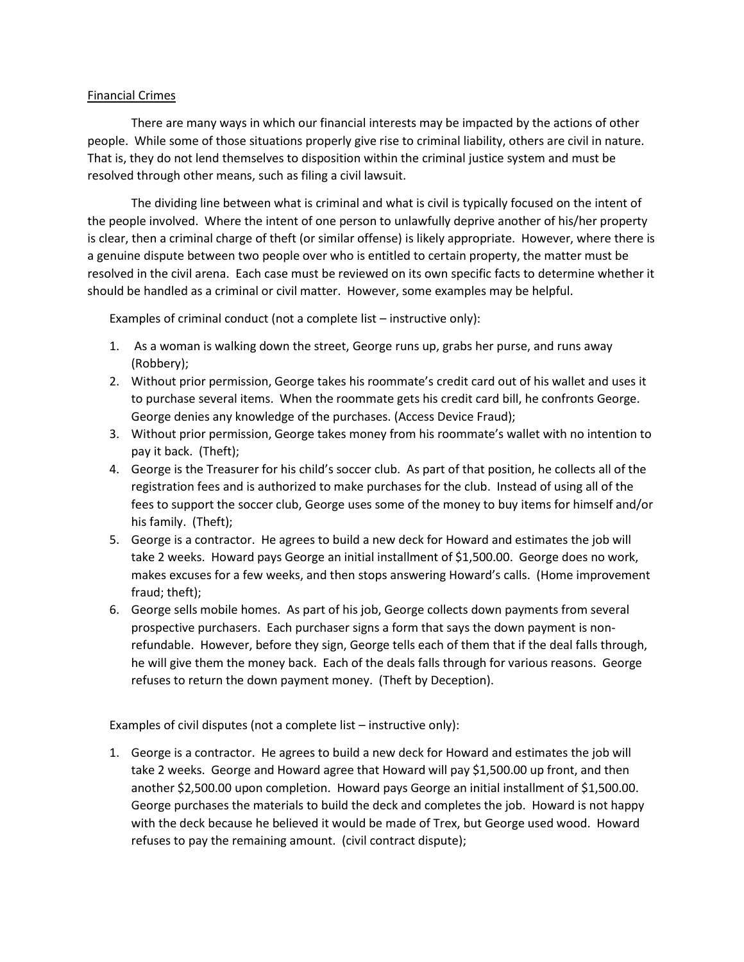## Financial Crimes

There are many ways in which our financial interests may be impacted by the actions of other people. While some of those situations properly give rise to criminal liability, others are civil in nature. That is, they do not lend themselves to disposition within the criminal justice system and must be resolved through other means, such as filing a civil lawsuit.

The dividing line between what is criminal and what is civil is typically focused on the intent of the people involved. Where the intent of one person to unlawfully deprive another of his/her property is clear, then a criminal charge of theft (or similar offense) is likely appropriate. However, where there is a genuine dispute between two people over who is entitled to certain property, the matter must be resolved in the civil arena. Each case must be reviewed on its own specific facts to determine whether it should be handled as a criminal or civil matter. However, some examples may be helpful.

Examples of criminal conduct (not a complete list – instructive only):

- 1. As a woman is walking down the street, George runs up, grabs her purse, and runs away (Robbery);
- 2. Without prior permission, George takes his roommate's credit card out of his wallet and uses it to purchase several items. When the roommate gets his credit card bill, he confronts George. George denies any knowledge of the purchases. (Access Device Fraud);
- 3. Without prior permission, George takes money from his roommate's wallet with no intention to pay it back. (Theft);
- 4. George is the Treasurer for his child's soccer club. As part of that position, he collects all of the registration fees and is authorized to make purchases for the club. Instead of using all of the fees to support the soccer club, George uses some of the money to buy items for himself and/or his family. (Theft);
- 5. George is a contractor. He agrees to build a new deck for Howard and estimates the job will take 2 weeks. Howard pays George an initial installment of \$1,500.00. George does no work, makes excuses for a few weeks, and then stops answering Howard's calls. (Home improvement fraud; theft);
- 6. George sells mobile homes. As part of his job, George collects down payments from several prospective purchasers. Each purchaser signs a form that says the down payment is nonrefundable. However, before they sign, George tells each of them that if the deal falls through, he will give them the money back. Each of the deals falls through for various reasons. George refuses to return the down payment money. (Theft by Deception).

Examples of civil disputes (not a complete list – instructive only):

1. George is a contractor. He agrees to build a new deck for Howard and estimates the job will take 2 weeks. George and Howard agree that Howard will pay \$1,500.00 up front, and then another \$2,500.00 upon completion. Howard pays George an initial installment of \$1,500.00. George purchases the materials to build the deck and completes the job. Howard is not happy with the deck because he believed it would be made of Trex, but George used wood. Howard refuses to pay the remaining amount. (civil contract dispute);